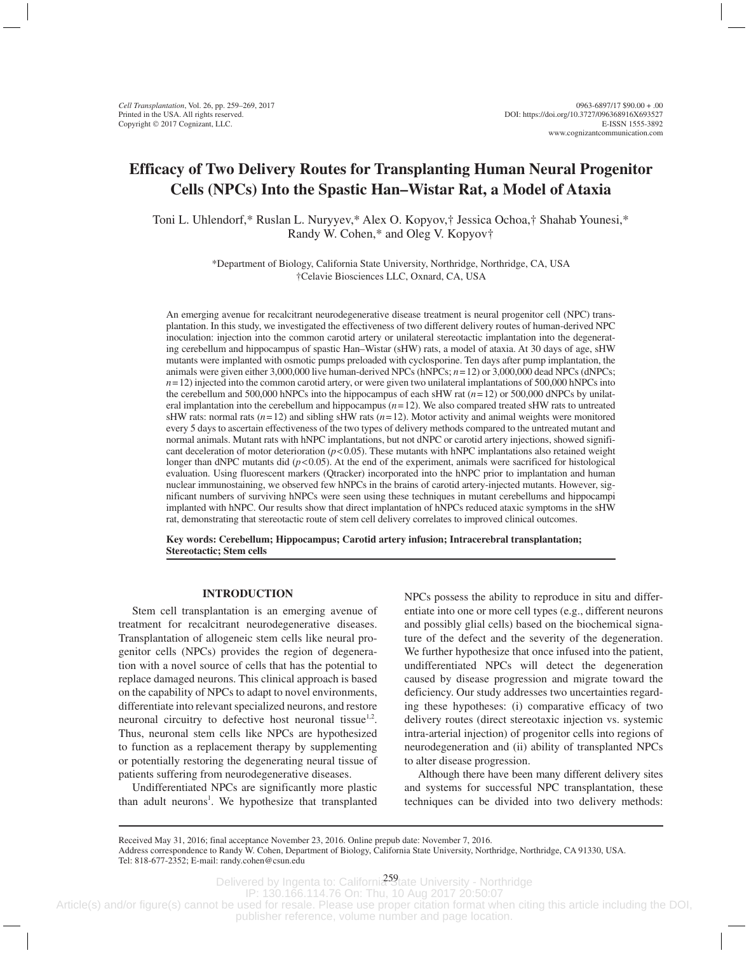# **Efficacy of Two Delivery Routes for Transplanting Human Neural Progenitor Cells (NPCs) Into the Spastic Han–Wistar Rat, a Model of Ataxia**

Toni L. Uhlendorf,\* Ruslan L. Nuryyev,\* Alex O. Kopyov,† Jessica Ochoa,† Shahab Younesi,\* Randy W. Cohen,\* and Oleg V. Kopyov†

> \*Department of Biology, California State University, Northridge, Northridge, CA, USA †Celavie Biosciences LLC, Oxnard, CA, USA

An emerging avenue for recalcitrant neurodegenerative disease treatment is neural progenitor cell (NPC) transplantation. In this study, we investigated the effectiveness of two different delivery routes of human-derived NPC inoculation: injection into the common carotid artery or unilateral stereotactic implantation into the degenerating cerebellum and hippocampus of spastic Han–Wistar (sHW) rats, a model of ataxia. At 30 days of age, sHW mutants were implanted with osmotic pumps preloaded with cyclosporine. Ten days after pump implantation, the animals were given either 3,000,000 live human-derived NPCs (hNPCs; *n* = 12) or 3,000,000 dead NPCs (dNPCs; *n* = 12) injected into the common carotid artery, or were given two unilateral implantations of 500,000 hNPCs into the cerebellum and 500,000 hNPCs into the hippocampus of each sHW rat  $(n=12)$  or 500,000 dNPCs by unilateral implantation into the cerebellum and hippocampus  $(n=12)$ . We also compared treated sHW rats to untreated sHW rats: normal rats  $(n=12)$  and sibling sHW rats  $(n=12)$ . Motor activity and animal weights were monitored every 5 days to ascertain effectiveness of the two types of delivery methods compared to the untreated mutant and normal animals. Mutant rats with hNPC implantations, but not dNPC or carotid artery injections, showed significant deceleration of motor deterioration ( $p$ <0.05). These mutants with hNPC implantations also retained weight longer than dNPC mutants did ( $p$ <0.05). At the end of the experiment, animals were sacrificed for histological evaluation. Using fluorescent markers (Qtracker) incorporated into the hNPC prior to implantation and human nuclear immunostaining, we observed few hNPCs in the brains of carotid artery-injected mutants. However, significant numbers of surviving hNPCs were seen using these techniques in mutant cerebellums and hippocampi implanted with hNPC. Our results show that direct implantation of hNPCs reduced ataxic symptoms in the sHW rat, demonstrating that stereotactic route of stem cell delivery correlates to improved clinical outcomes.

**Key words: Cerebellum; Hippocampus; Carotid artery infusion; Intracerebral transplantation; Stereotactic; Stem cells**

## **INTRODUCTION**

Stem cell transplantation is an emerging avenue of treatment for recalcitrant neurodegenerative diseases. Transplantation of allogeneic stem cells like neural progenitor cells (NPCs) provides the region of degeneration with a novel source of cells that has the potential to replace damaged neurons. This clinical approach is based on the capability of NPCs to adapt to novel environments, differentiate into relevant specialized neurons, and restore neuronal circuitry to defective host neuronal tissue $1,2$ . Thus, neuronal stem cells like NPCs are hypothesized to function as a replacement therapy by supplementing or potentially restoring the degenerating neural tissue of patients suffering from neurodegenerative diseases.

Undifferentiated NPCs are significantly more plastic than adult neurons<sup>1</sup>. We hypothesize that transplanted NPCs possess the ability to reproduce in situ and differentiate into one or more cell types (e.g., different neurons and possibly glial cells) based on the biochemical signature of the defect and the severity of the degeneration. We further hypothesize that once infused into the patient, undifferentiated NPCs will detect the degeneration caused by disease progression and migrate toward the deficiency. Our study addresses two uncertainties regarding these hypotheses: (i) comparative efficacy of two delivery routes (direct stereotaxic injection vs. systemic intra-arterial injection) of progenitor cells into regions of neurodegeneration and (ii) ability of transplanted NPCs to alter disease progression.

Although there have been many different delivery sites and systems for successful NPC transplantation, these techniques can be divided into two delivery methods:

Received May 31, 2016; final acceptance November 23, 2016. Online prepub date: November 7, 2016. Address correspondence to Randy W. Cohen, Department of Biology, California State University, Northridge, Northridge, CA 91330, USA. Tel: 818-677-2352; E-mail: randy.cohen@csun.edu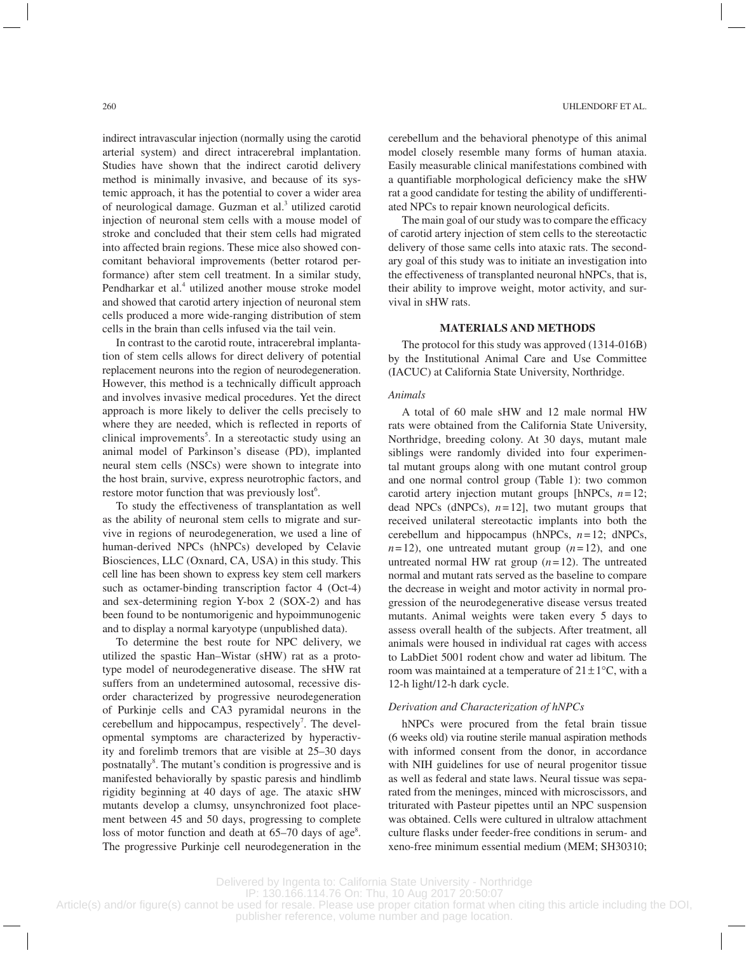indirect intravascular injection (normally using the carotid arterial system) and direct intracerebral implantation. Studies have shown that the indirect carotid delivery method is minimally invasive, and because of its systemic approach, it has the potential to cover a wider area of neurological damage. Guzman et al.<sup>3</sup> utilized carotid injection of neuronal stem cells with a mouse model of stroke and concluded that their stem cells had migrated into affected brain regions. These mice also showed concomitant behavioral improvements (better rotarod performance) after stem cell treatment. In a similar study, Pendharkar et al.<sup>4</sup> utilized another mouse stroke model and showed that carotid artery injection of neuronal stem cells produced a more wide-ranging distribution of stem cells in the brain than cells infused via the tail vein.

In contrast to the carotid route, intracerebral implantation of stem cells allows for direct delivery of potential replacement neurons into the region of neurodegeneration. However, this method is a technically difficult approach and involves invasive medical procedures. Yet the direct approach is more likely to deliver the cells precisely to where they are needed, which is reflected in reports of clinical improvements<sup>5</sup>. In a stereotactic study using an animal model of Parkinson's disease (PD), implanted neural stem cells (NSCs) were shown to integrate into the host brain, survive, express neurotrophic factors, and restore motor function that was previously lost<sup>6</sup>.

To study the effectiveness of transplantation as well as the ability of neuronal stem cells to migrate and survive in regions of neurodegeneration, we used a line of human-derived NPCs (hNPCs) developed by Celavie Biosciences, LLC (Oxnard, CA, USA) in this study. This cell line has been shown to express key stem cell markers such as octamer-binding transcription factor 4 (Oct-4) and sex-determining region Y-box 2 (SOX-2) and has been found to be nontumorigenic and hypoimmunogenic and to display a normal karyotype (unpublished data).

To determine the best route for NPC delivery, we utilized the spastic Han–Wistar (sHW) rat as a prototype model of neurodegenerative disease. The sHW rat suffers from an undetermined autosomal, recessive disorder characterized by progressive neurodegeneration of Purkinje cells and CA3 pyramidal neurons in the cerebellum and hippocampus, respectively<sup>7</sup>. The developmental symptoms are characterized by hyperactivity and forelimb tremors that are visible at 25–30 days postnatally<sup>8</sup>. The mutant's condition is progressive and is manifested behaviorally by spastic paresis and hindlimb rigidity beginning at 40 days of age. The ataxic sHW mutants develop a clumsy, unsynchronized foot placement between 45 and 50 days, progressing to complete loss of motor function and death at  $65-70$  days of age<sup>8</sup>. The progressive Purkinje cell neurodegeneration in the

cerebellum and the behavioral phenotype of this animal model closely resemble many forms of human ataxia. Easily measurable clinical manifestations combined with a quantifiable morphological deficiency make the sHW rat a good candidate for testing the ability of undifferentiated NPCs to repair known neurological deficits.

The main goal of our study was to compare the efficacy of carotid artery injection of stem cells to the stereotactic delivery of those same cells into ataxic rats. The secondary goal of this study was to initiate an investigation into the effectiveness of transplanted neuronal hNPCs, that is, their ability to improve weight, motor activity, and survival in sHW rats.

# **MATERIALS AND METHODS**

The protocol for this study was approved (1314-016B) by the Institutional Animal Care and Use Committee (IACUC) at California State University, Northridge.

## *Animals*

A total of 60 male sHW and 12 male normal HW rats were obtained from the California State University, Northridge, breeding colony. At 30 days, mutant male siblings were randomly divided into four experimental mutant groups along with one mutant control group and one normal control group (Table 1): two common carotid artery injection mutant groups [hNPCs,  $n = 12$ ; dead NPCs (dNPCs),  $n=12$ ], two mutant groups that received unilateral stereotactic implants into both the cerebellum and hippocampus (hNPCs, *n* = 12; dNPCs,  $n=12$ ), one untreated mutant group  $(n=12)$ , and one untreated normal HW rat group  $(n=12)$ . The untreated normal and mutant rats served as the baseline to compare the decrease in weight and motor activity in normal progression of the neurodegenerative disease versus treated mutants. Animal weights were taken every 5 days to assess overall health of the subjects. After treatment, all animals were housed in individual rat cages with access to LabDiet 5001 rodent chow and water ad libitum*.* The room was maintained at a temperature of  $21 \pm 1$ °C, with a 12-h light/12-h dark cycle.

## *Derivation and Characterization of hNPCs*

hNPCs were procured from the fetal brain tissue (6 weeks old) via routine sterile manual aspiration methods with informed consent from the donor, in accordance with NIH guidelines for use of neural progenitor tissue as well as federal and state laws. Neural tissue was separated from the meninges, minced with microscissors, and triturated with Pasteur pipettes until an NPC suspension was obtained. Cells were cultured in ultralow attachment culture flasks under feeder-free conditions in serum- and xeno-free minimum essential medium (MEM; SH30310;

Delivered by Ingenta to: California State University - Northridge

IP: 130.166.114.76 On: Thu, 10 Aug 2017 20:50:07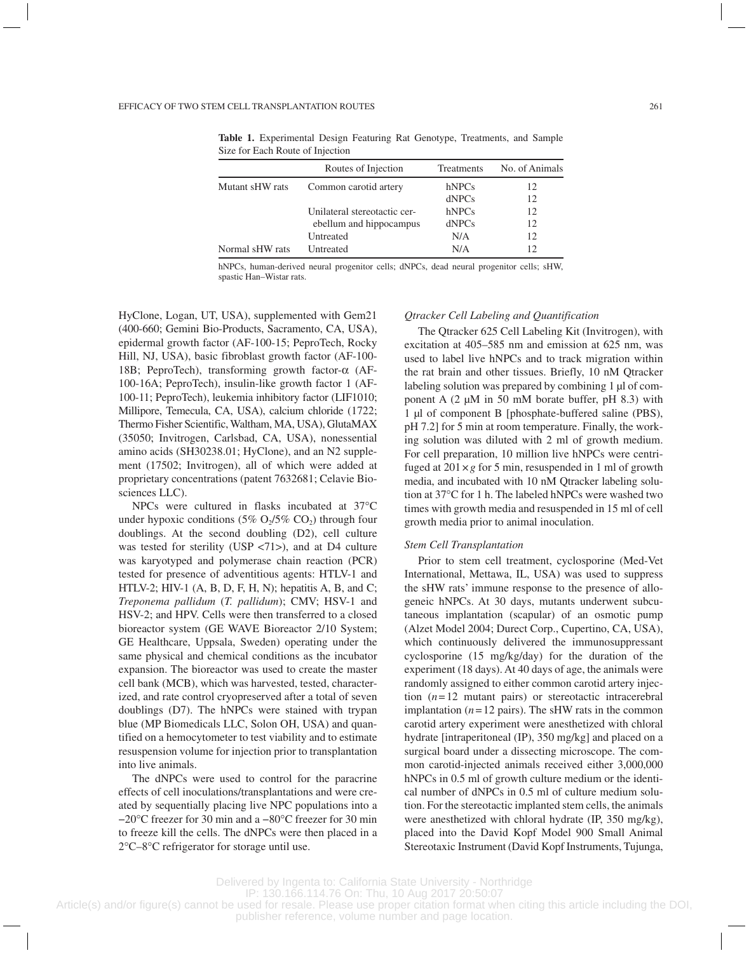|                 | Routes of Injection          | Treatments | No. of Animals |
|-----------------|------------------------------|------------|----------------|
| Mutant sHW rats | Common carotid artery        | hNPCs      | 12             |
|                 |                              | dNPCs      | 12             |
|                 | Unilateral stereotactic cer- | hNPCs      | 12             |
|                 | ebellum and hippocampus      | dNPCs      | 12             |
|                 | Untreated                    | N/A        | 12             |
| Normal sHW rats | Untreated                    | N/A        | 12             |

**Table 1.** Experimental Design Featuring Rat Genotype, Treatments, and Sample Size for Each Route of Injection

hNPCs, human-derived neural progenitor cells; dNPCs, dead neural progenitor cells; sHW, spastic Han–Wistar rats.

HyClone, Logan, UT, USA), supplemented with Gem21 (400-660; Gemini Bio-Products, Sacramento, CA, USA), epidermal growth factor (AF-100-15; PeproTech, Rocky Hill, NJ, USA), basic fibroblast growth factor (AF-100- 18B; PeproTech), transforming growth factor- $\alpha$  (AF-100-16A; PeproTech), insulin-like growth factor 1 (AF-100-11; PeproTech), leukemia inhibitory factor (LIF1010; Millipore, Temecula, CA, USA), calcium chloride (1722; Thermo Fisher Scientific, Waltham, MA, USA), GlutaMAX (35050; Invitrogen, Carlsbad, CA, USA), nonessential amino acids (SH30238.01; HyClone), and an N2 supplement (17502; Invitrogen), all of which were added at proprietary concentrations (patent 7632681; Celavie Biosciences LLC).

NPCs were cultured in flasks incubated at 37°C under hypoxic conditions (5%  $O<sub>2</sub>/5%$  CO<sub>2</sub>) through four doublings. At the second doubling (D2), cell culture was tested for sterility (USP <71>), and at D4 culture was karyotyped and polymerase chain reaction (PCR) tested for presence of adventitious agents: HTLV-1 and HTLV-2; HIV-1 (A, B, D, F, H, N); hepatitis A, B, and C; *Treponema pallidum* (*T. pallidum*); CMV; HSV-1 and HSV-2; and HPV. Cells were then transferred to a closed bioreactor system (GE WAVE Bioreactor 2/10 System; GE Healthcare, Uppsala, Sweden) operating under the same physical and chemical conditions as the incubator expansion. The bioreactor was used to create the master cell bank (MCB), which was harvested, tested, characterized, and rate control cryopreserved after a total of seven doublings (D7). The hNPCs were stained with trypan blue (MP Biomedicals LLC, Solon OH, USA) and quantified on a hemocytometer to test viability and to estimate resuspension volume for injection prior to transplantation into live animals.

The dNPCs were used to control for the paracrine effects of cell inoculations/transplantations and were created by sequentially placing live NPC populations into a −20°C freezer for 30 min and a −80°C freezer for 30 min to freeze kill the cells. The dNPCs were then placed in a 2°C–8°C refrigerator for storage until use.

#### *Qtracker Cell Labeling and Quantification*

The Qtracker 625 Cell Labeling Kit (Invitrogen), with excitation at 405–585 nm and emission at 625 nm, was used to label live hNPCs and to track migration within the rat brain and other tissues. Briefly, 10 nM Qtracker labeling solution was prepared by combining 1 µl of component A (2 µM in 50 mM borate buffer, pH 8.3) with 1 µl of component B [phosphate-buffered saline (PBS), pH 7.2] for 5 min at room temperature. Finally, the working solution was diluted with 2 ml of growth medium. For cell preparation, 10 million live hNPCs were centrifuged at  $201 \times g$  for 5 min, resuspended in 1 ml of growth media, and incubated with 10 nM Qtracker labeling solution at 37°C for 1 h. The labeled hNPCs were washed two times with growth media and resuspended in 15 ml of cell growth media prior to animal inoculation.

## *Stem Cell Transplantation*

Prior to stem cell treatment, cyclosporine (Med-Vet International, Mettawa, IL, USA) was used to suppress the sHW rats' immune response to the presence of allogeneic hNPCs. At 30 days, mutants underwent subcutaneous implantation (scapular) of an osmotic pump (Alzet Model 2004; Durect Corp., Cupertino, CA, USA), which continuously delivered the immunosuppressant cyclosporine (15 mg/kg/day) for the duration of the experiment (18 days). At 40 days of age, the animals were randomly assigned to either common carotid artery injection  $(n=12$  mutant pairs) or stereotactic intracerebral implantation  $(n=12 \text{ pairs})$ . The sHW rats in the common carotid artery experiment were anesthetized with chloral hydrate [intraperitoneal (IP), 350 mg/kg] and placed on a surgical board under a dissecting microscope. The common carotid-injected animals received either 3,000,000 hNPCs in 0.5 ml of growth culture medium or the identical number of dNPCs in 0.5 ml of culture medium solution. For the stereotactic implanted stem cells, the animals were anesthetized with chloral hydrate (IP, 350 mg/kg), placed into the David Kopf Model 900 Small Animal Stereotaxic Instrument (David Kopf Instruments, Tujunga,

Delivered by Ingenta to: California State University - Northridge

IP: 130.166.114.76 On: Thu, 10 Aug 2017 20:50:07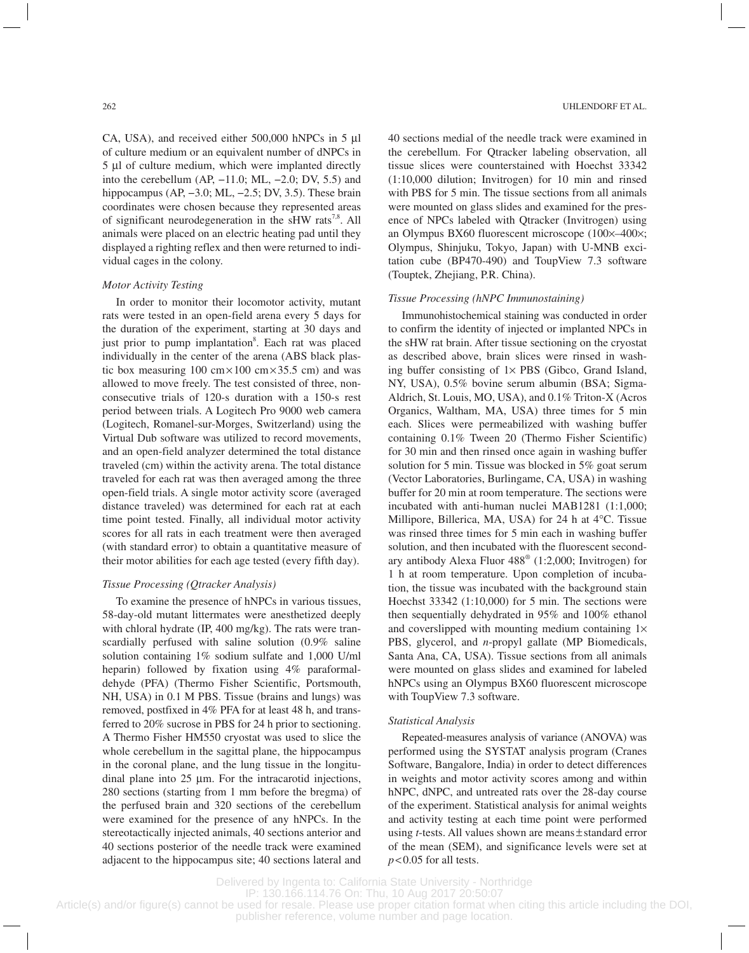CA, USA), and received either  $500,000$  hNPCs in 5  $\mu$ l of culture medium or an equivalent number of dNPCs in 5 µl of culture medium, which were implanted directly into the cerebellum (AP,  $-11.0$ ; ML,  $-2.0$ ; DV, 5.5) and hippocampus (AP, −3.0; ML, −2.5; DV, 3.5). These brain coordinates were chosen because they represented areas of significant neurodegeneration in the sHW rats<sup>7,8</sup>. All animals were placed on an electric heating pad until they displayed a righting reflex and then were returned to individual cages in the colony.

## *Motor Activity Testing*

In order to monitor their locomotor activity, mutant rats were tested in an open-field arena every 5 days for the duration of the experiment, starting at 30 days and just prior to pump implantation<sup>8</sup>. Each rat was placed individually in the center of the arena (ABS black plastic box measuring  $100 \text{ cm} \times 100 \text{ cm} \times 35.5 \text{ cm}$ ) and was allowed to move freely. The test consisted of three, nonconsecutive trials of 120-s duration with a 150-s rest period between trials. A Logitech Pro 9000 web camera (Logitech, Romanel-sur-Morges, Switzerland) using the Virtual Dub software was utilized to record movements, and an open-field analyzer determined the total distance traveled (cm) within the activity arena. The total distance traveled for each rat was then averaged among the three open-field trials. A single motor activity score (averaged distance traveled) was determined for each rat at each time point tested. Finally, all individual motor activity scores for all rats in each treatment were then averaged (with standard error) to obtain a quantitative measure of their motor abilities for each age tested (every fifth day).

# *Tissue Processing (Qtracker Analysis)*

To examine the presence of hNPCs in various tissues, 58-day-old mutant littermates were anesthetized deeply with chloral hydrate (IP, 400 mg/kg). The rats were transcardially perfused with saline solution (0.9% saline solution containing 1% sodium sulfate and 1,000 U/ml heparin) followed by fixation using 4% paraformaldehyde (PFA) (Thermo Fisher Scientific, Portsmouth, NH, USA) in 0.1 M PBS. Tissue (brains and lungs) was removed, postfixed in 4% PFA for at least 48 h, and transferred to 20% sucrose in PBS for 24 h prior to sectioning. A Thermo Fisher HM550 cryostat was used to slice the whole cerebellum in the sagittal plane, the hippocampus in the coronal plane, and the lung tissue in the longitudinal plane into 25 um. For the intracarotid injections, 280 sections (starting from 1 mm before the bregma) of the perfused brain and 320 sections of the cerebellum were examined for the presence of any hNPCs. In the stereotactically injected animals, 40 sections anterior and 40 sections posterior of the needle track were examined adjacent to the hippocampus site; 40 sections lateral and

40 sections medial of the needle track were examined in the cerebellum. For Qtracker labeling observation, all tissue slices were counterstained with Hoechst 33342 (1:10,000 dilution; Invitrogen) for 10 min and rinsed with PBS for 5 min. The tissue sections from all animals were mounted on glass slides and examined for the presence of NPCs labeled with Qtracker (Invitrogen) using an Olympus BX60 fluorescent microscope  $(100 \times -400 \times;$ Olympus, Shinjuku, Tokyo, Japan) with U-MNB excitation cube (BP470-490) and ToupView 7.3 software (Touptek, Zhejiang, P.R. China).

## *Tissue Processing (hNPC Immunostaining)*

Immunohistochemical staining was conducted in order to confirm the identity of injected or implanted NPCs in the sHW rat brain. After tissue sectioning on the cryostat as described above, brain slices were rinsed in washing buffer consisting of  $1\times$  PBS (Gibco, Grand Island, NY, USA), 0.5% bovine serum albumin (BSA; Sigma-Aldrich, St. Louis, MO, USA), and 0.1% Triton-X (Acros Organics, Waltham, MA, USA) three times for 5 min each. Slices were permeabilized with washing buffer containing 0.1% Tween 20 (Thermo Fisher Scientific) for 30 min and then rinsed once again in washing buffer solution for 5 min. Tissue was blocked in 5% goat serum (Vector Laboratories, Burlingame, CA, USA) in washing buffer for 20 min at room temperature. The sections were incubated with anti-human nuclei MAB1281 (1:1,000; Millipore, Billerica, MA, USA) for 24 h at 4°C. Tissue was rinsed three times for 5 min each in washing buffer solution, and then incubated with the fluorescent secondary antibody Alexa Fluor 488® (1:2,000; Invitrogen) for 1 h at room temperature. Upon completion of incubation, the tissue was incubated with the background stain Hoechst 33342 (1:10,000) for 5 min. The sections were then sequentially dehydrated in 95% and 100% ethanol and coverslipped with mounting medium containing  $1\times$ PBS, glycerol, and *n*-propyl gallate (MP Biomedicals, Santa Ana, CA, USA). Tissue sections from all animals were mounted on glass slides and examined for labeled hNPCs using an Olympus BX60 fluorescent microscope with ToupView 7.3 software.

#### *Statistical Analysis*

Repeated-measures analysis of variance (ANOVA) was performed using the SYSTAT analysis program (Cranes Software, Bangalore, India) in order to detect differences in weights and motor activity scores among and within hNPC, dNPC, and untreated rats over the 28-day course of the experiment. Statistical analysis for animal weights and activity testing at each time point were performed using *t*-tests. All values shown are means±standard error of the mean (SEM), and significance levels were set at  $p < 0.05$  for all tests.

IP: 130.166.114.76 On: Thu, 10 Aug 2017 20:50:07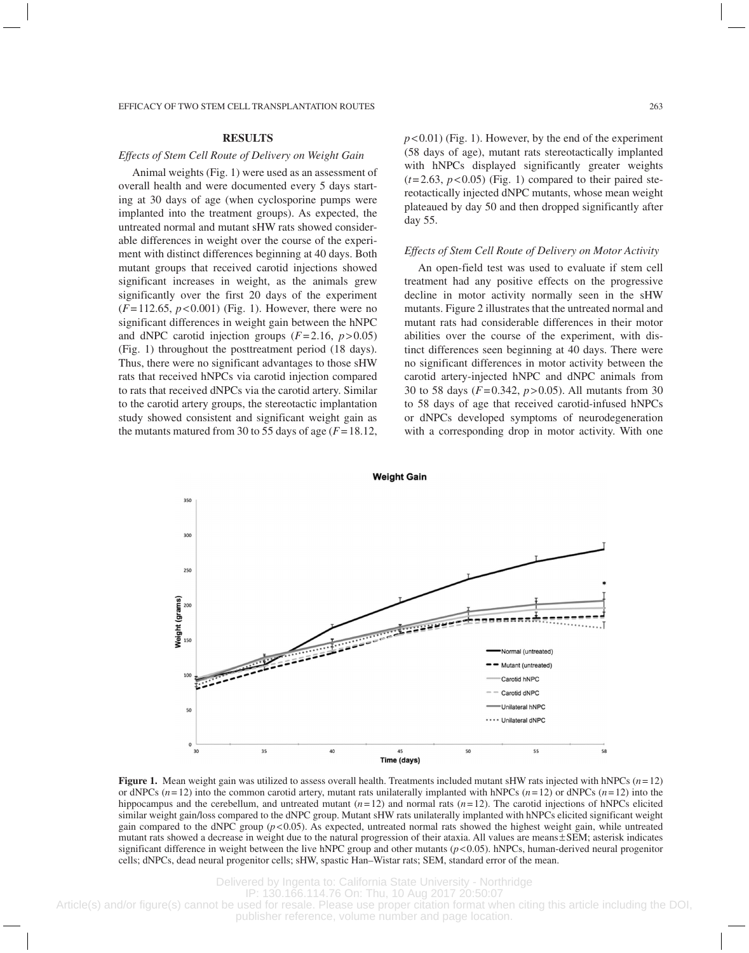#### *Effects of Stem Cell Route of Delivery on Weight Gain*

Animal weights (Fig. 1) were used as an assessment of overall health and were documented every 5 days starting at 30 days of age (when cyclosporine pumps were implanted into the treatment groups). As expected, the untreated normal and mutant sHW rats showed considerable differences in weight over the course of the experiment with distinct differences beginning at 40 days. Both mutant groups that received carotid injections showed significant increases in weight, as the animals grew significantly over the first 20 days of the experiment (*F* = 112.65, *p*<0.001) (Fig. 1). However, there were no significant differences in weight gain between the hNPC and dNPC carotid injection groups  $(F=2.16, p>0.05)$ (Fig. 1) throughout the posttreatment period (18 days). Thus, there were no significant advantages to those sHW rats that received hNPCs via carotid injection compared to rats that received dNPCs via the carotid artery. Similar to the carotid artery groups, the stereotactic implantation study showed consistent and significant weight gain as the mutants matured from 30 to 55 days of age  $(F = 18.12)$ ,

 $p$ <0.01) (Fig. 1). However, by the end of the experiment (58 days of age), mutant rats stereotactically implanted with hNPCs displayed significantly greater weights  $(t=2.63, p<0.05)$  (Fig. 1) compared to their paired stereotactically injected dNPC mutants, whose mean weight plateaued by day 50 and then dropped significantly after day 55.

#### *Effects of Stem Cell Route of Delivery on Motor Activity*

An open-field test was used to evaluate if stem cell treatment had any positive effects on the progressive decline in motor activity normally seen in the sHW mutants. Figure 2 illustrates that the untreated normal and mutant rats had considerable differences in their motor abilities over the course of the experiment, with distinct differences seen beginning at 40 days. There were no significant differences in motor activity between the carotid artery-injected hNPC and dNPC animals from 30 to 58 days (*F* = 0.342, *p*>0.05). All mutants from 30 to 58 days of age that received carotid-infused hNPCs or dNPCs developed symptoms of neurodegeneration with a corresponding drop in motor activity. With one



**Figure 1.** Mean weight gain was utilized to assess overall health. Treatments included mutant sHW rats injected with hNPCs (*n* = 12) or dNPCs  $(n=12)$  into the common carotid artery, mutant rats unilaterally implanted with hNPCs  $(n=12)$  or dNPCs  $(n=12)$  into the hippocampus and the cerebellum, and untreated mutant (*n*=12) and normal rats (*n*=12). The carotid injections of hNPCs elicited similar weight gain/loss compared to the dNPC group. Mutant sHW rats unilaterally implanted with hNPCs elicited significant weight gain compared to the dNPC group  $(p<0.05)$ . As expected, untreated normal rats showed the highest weight gain, while untreated mutant rats showed a decrease in weight due to the natural progression of their ataxia. All values are means $\pm$ SEM; asterisk indicates significant difference in weight between the live hNPC group and other mutants  $(p<0.05)$ . hNPCs, human-derived neural progenitor cells; dNPCs, dead neural progenitor cells; sHW, spastic Han–Wistar rats; SEM, standard error of the mean.

Delivered by Ingenta to: California State University - Northridge IP: 130.166.114.76 On: Thu, 10 Aug 2017 20:50:07 Article(s) and/or figure(s) cannot be used for resale. Please use proper citation format when citing this article including the DOI, publisher reference, volume number and page location.

**Weight Gain**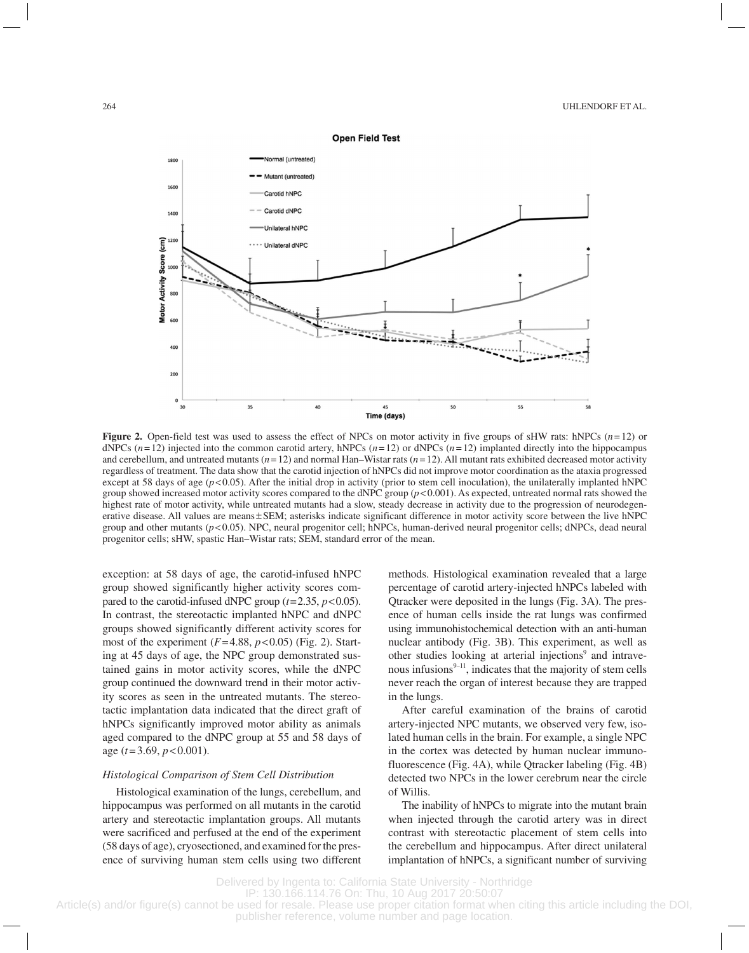

**Figure 2.** Open-field test was used to assess the effect of NPCs on motor activity in five groups of sHW rats: hNPCs (*n*=12) or dNPCs  $(n=12)$  injected into the common carotid artery, hNPCs  $(n=12)$  or dNPCs  $(n=12)$  implanted directly into the hippocampus and cerebellum, and untreated mutants  $(n=12)$  and normal Han–Wistar rats  $(n=12)$ . All mutant rats exhibited decreased motor activity regardless of treatment. The data show that the carotid injection of hNPCs did not improve motor coordination as the ataxia progressed except at 58 days of age  $(p<0.05)$ . After the initial drop in activity (prior to stem cell inoculation), the unilaterally implanted hNPC group showed increased motor activity scores compared to the dNPC group  $(p<0.001)$ . As expected, untreated normal rats showed the highest rate of motor activity, while untreated mutants had a slow, steady decrease in activity due to the progression of neurodegenerative disease. All values are means±SEM; asterisks indicate significant difference in motor activity score between the live hNPC group and other mutants (*p*<0.05). NPC, neural progenitor cell; hNPCs, human-derived neural progenitor cells; dNPCs, dead neural progenitor cells; sHW, spastic Han–Wistar rats; SEM, standard error of the mean.

exception: at 58 days of age, the carotid-infused hNPC group showed significantly higher activity scores compared to the carotid-infused dNPC group  $(t=2.35, p<0.05)$ . In contrast, the stereotactic implanted hNPC and dNPC groups showed significantly different activity scores for most of the experiment  $(F=4.88, p<0.05)$  (Fig. 2). Starting at 45 days of age, the NPC group demonstrated sustained gains in motor activity scores, while the dNPC group continued the downward trend in their motor activity scores as seen in the untreated mutants. The stereotactic implantation data indicated that the direct graft of hNPCs significantly improved motor ability as animals aged compared to the dNPC group at 55 and 58 days of age (*t* = 3.69, *p*< 0.001).

#### *Histological Comparison of Stem Cell Distribution*

Histological examination of the lungs, cerebellum, and hippocampus was performed on all mutants in the carotid artery and stereotactic implantation groups. All mutants were sacrificed and perfused at the end of the experiment (58 days of age), cryosectioned, and examined for the presence of surviving human stem cells using two different

methods. Histological examination revealed that a large percentage of carotid artery-injected hNPCs labeled with Qtracker were deposited in the lungs (Fig. 3A). The presence of human cells inside the rat lungs was confirmed using immunohistochemical detection with an anti-human nuclear antibody (Fig. 3B). This experiment, as well as other studies looking at arterial injections<sup>9</sup> and intravenous infusions $9-11$ , indicates that the majority of stem cells never reach the organ of interest because they are trapped in the lungs.

After careful examination of the brains of carotid artery-injected NPC mutants, we observed very few, isolated human cells in the brain. For example, a single NPC in the cortex was detected by human nuclear immunofluorescence (Fig. 4A), while Qtracker labeling (Fig. 4B) detected two NPCs in the lower cerebrum near the circle of Willis.

The inability of hNPCs to migrate into the mutant brain when injected through the carotid artery was in direct contrast with stereotactic placement of stem cells into the cerebellum and hippocampus. After direct unilateral implantation of hNPCs, a significant number of surviving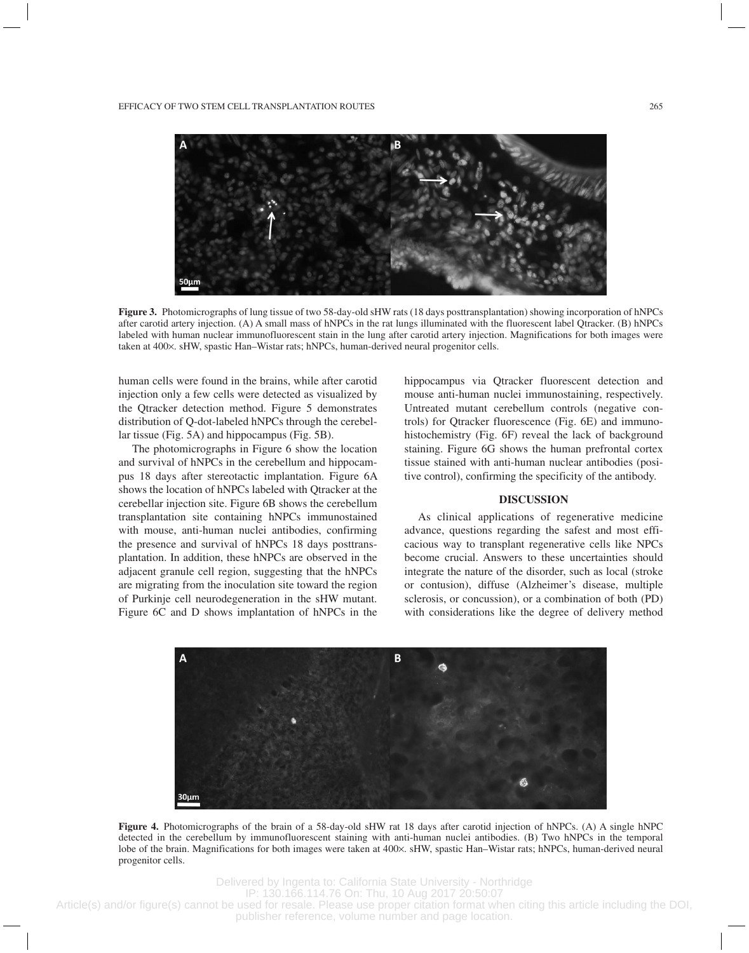

**Figure 3.** Photomicrographs of lung tissue of two 58-day-old sHW rats (18 days posttransplantation) showing incorporation of hNPCs after carotid artery injection. (A) A small mass of hNPCs in the rat lungs illuminated with the fluorescent label Qtracker. (B) hNPCs labeled with human nuclear immunofluorescent stain in the lung after carotid artery injection. Magnifications for both images were taken at 400 $\times$ . sHW, spastic Han–Wistar rats; hNPCs, human-derived neural progenitor cells.

human cells were found in the brains, while after carotid injection only a few cells were detected as visualized by the Qtracker detection method. Figure 5 demonstrates distribution of Q-dot-labeled hNPCs through the cerebellar tissue (Fig. 5A) and hippocampus (Fig. 5B).

The photomicrographs in Figure 6 show the location and survival of hNPCs in the cerebellum and hippocampus 18 days after stereotactic implantation. Figure 6A shows the location of hNPCs labeled with Qtracker at the cerebellar injection site. Figure 6B shows the cerebellum transplantation site containing hNPCs immunostained with mouse, anti-human nuclei antibodies, confirming the presence and survival of hNPCs 18 days posttransplantation. In addition, these hNPCs are observed in the adjacent granule cell region, suggesting that the hNPCs are migrating from the inoculation site toward the region of Purkinje cell neurodegeneration in the sHW mutant. Figure 6C and D shows implantation of hNPCs in the

hippocampus via Qtracker fluorescent detection and mouse anti-human nuclei immunostaining, respectively. Untreated mutant cerebellum controls (negative controls) for Qtracker fluorescence (Fig. 6E) and immunohistochemistry (Fig. 6F) reveal the lack of background staining. Figure 6G shows the human prefrontal cortex tissue stained with anti-human nuclear antibodies (positive control), confirming the specificity of the antibody.

### **DISCUSSION**

As clinical applications of regenerative medicine advance, questions regarding the safest and most efficacious way to transplant regenerative cells like NPCs become crucial. Answers to these uncertainties should integrate the nature of the disorder, such as local (stroke or contusion), diffuse (Alzheimer's disease, multiple sclerosis, or concussion), or a combination of both (PD) with considerations like the degree of delivery method



**Figure 4.** Photomicrographs of the brain of a 58-day-old sHW rat 18 days after carotid injection of hNPCs. (A) A single hNPC detected in the cerebellum by immunofluorescent staining with anti-human nuclei antibodies. (B) Two hNPCs in the temporal lobe of the brain. Magnifications for both images were taken at 400 $\times$ . sHW, spastic Han–Wistar rats; hNPCs, human-derived neural progenitor cells.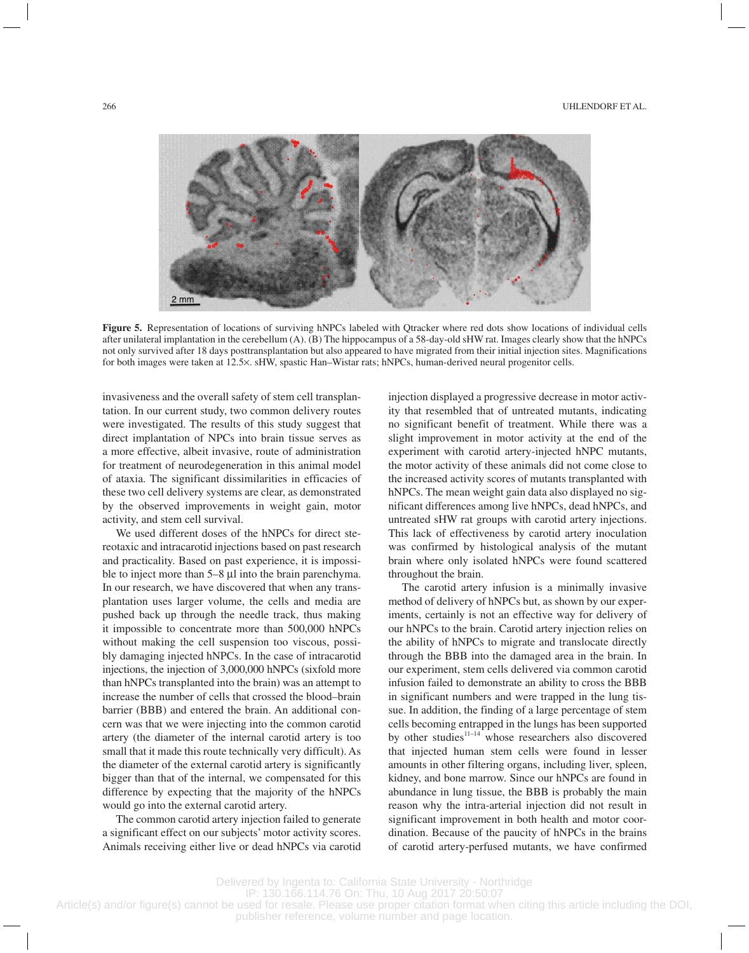

**Figure 5.** Representation of locations of surviving hNPCs labeled with Qtracker where red dots show locations of individual cells after unilateral implantation in the cerebellum (A). (B) The hippocampus of a 58-day-old sHW rat. Images clearly show that the hNPCs not only survived after 18 days posttransplantation but also appeared to have migrated from their initial injection sites. Magnifications for both images were taken at 12.5 $\times$ . sHW, spastic Han–Wistar rats; hNPCs, human-derived neural progenitor cells.

invasiveness and the overall safety of stem cell transplantation. In our current study, two common delivery routes were investigated. The results of this study suggest that direct implantation of NPCs into brain tissue serves as a more effective, albeit invasive, route of administration for treatment of neurodegeneration in this animal model of ataxia. The significant dissimilarities in efficacies of these two cell delivery systems are clear, as demonstrated by the observed improvements in weight gain, motor activity, and stem cell survival.

We used different doses of the hNPCs for direct stereotaxic and intracarotid injections based on past research and practicality. Based on past experience, it is impossible to inject more than  $5-8 \mu l$  into the brain parenchyma. In our research, we have discovered that when any transplantation uses larger volume, the cells and media are pushed back up through the needle track, thus making it impossible to concentrate more than 500,000 hNPCs without making the cell suspension too viscous, possibly damaging injected hNPCs. In the case of intracarotid injections, the injection of 3,000,000 hNPCs (sixfold more than hNPCs transplanted into the brain) was an attempt to increase the number of cells that crossed the blood–brain barrier (BBB) and entered the brain. An additional concern was that we were injecting into the common carotid artery (the diameter of the internal carotid artery is too small that it made this route technically very difficult). As the diameter of the external carotid artery is significantly bigger than that of the internal, we compensated for this difference by expecting that the majority of the hNPCs would go into the external carotid artery.

The common carotid artery injection failed to generate a significant effect on our subjects' motor activity scores. Animals receiving either live or dead hNPCs via carotid injection displayed a progressive decrease in motor activity that resembled that of untreated mutants, indicating no significant benefit of treatment. While there was a slight improvement in motor activity at the end of the experiment with carotid artery-injected hNPC mutants, the motor activity of these animals did not come close to the increased activity scores of mutants transplanted with hNPCs. The mean weight gain data also displayed no significant differences among live hNPCs, dead hNPCs, and untreated sHW rat groups with carotid artery injections. This lack of effectiveness by carotid artery inoculation was confirmed by histological analysis of the mutant brain where only isolated hNPCs were found scattered throughout the brain.

The carotid artery infusion is a minimally invasive method of delivery of hNPCs but, as shown by our experiments, certainly is not an effective way for delivery of our hNPCs to the brain. Carotid artery injection relies on the ability of hNPCs to migrate and translocate directly through the BBB into the damaged area in the brain. In our experiment, stem cells delivered via common carotid infusion failed to demonstrate an ability to cross the BBB in significant numbers and were trapped in the lung tissue. In addition, the finding of a large percentage of stem cells becoming entrapped in the lungs has been supported by other studies $11-14$  whose researchers also discovered that injected human stem cells were found in lesser amounts in other filtering organs, including liver, spleen, kidney, and bone marrow. Since our hNPCs are found in abundance in lung tissue, the BBB is probably the main reason why the intra-arterial injection did not result in significant improvement in both health and motor coordination. Because of the paucity of hNPCs in the brains of carotid artery-perfused mutants, we have confirmed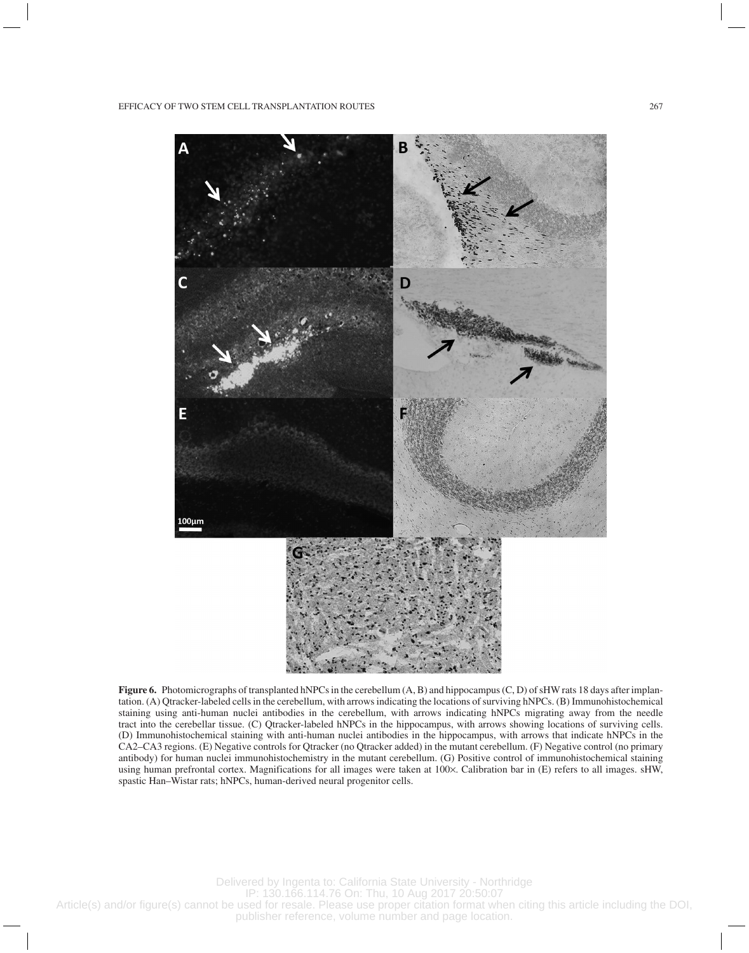

**Figure 6.** Photomicrographs of transplanted hNPCs in the cerebellum (A, B) and hippocampus (C, D) of sHW rats 18 days after implantation. (A) Qtracker-labeled cells in the cerebellum, with arrows indicating the locations of surviving hNPCs. (B) Immunohistochemical staining using anti-human nuclei antibodies in the cerebellum, with arrows indicating hNPCs migrating away from the needle tract into the cerebellar tissue. (C) Qtracker-labeled hNPCs in the hippocampus, with arrows showing locations of surviving cells. (D) Immunohistochemical staining with anti-human nuclei antibodies in the hippocampus, with arrows that indicate hNPCs in the CA2–CA3 regions. (E) Negative controls for Qtracker (no Qtracker added) in the mutant cerebellum. (F) Negative control (no primary antibody) for human nuclei immunohistochemistry in the mutant cerebellum. (G) Positive control of immunohistochemical staining using human prefrontal cortex. Magnifications for all images were taken at 100 $\times$ . Calibration bar in (E) refers to all images. sHW, spastic Han–Wistar rats; hNPCs, human-derived neural progenitor cells.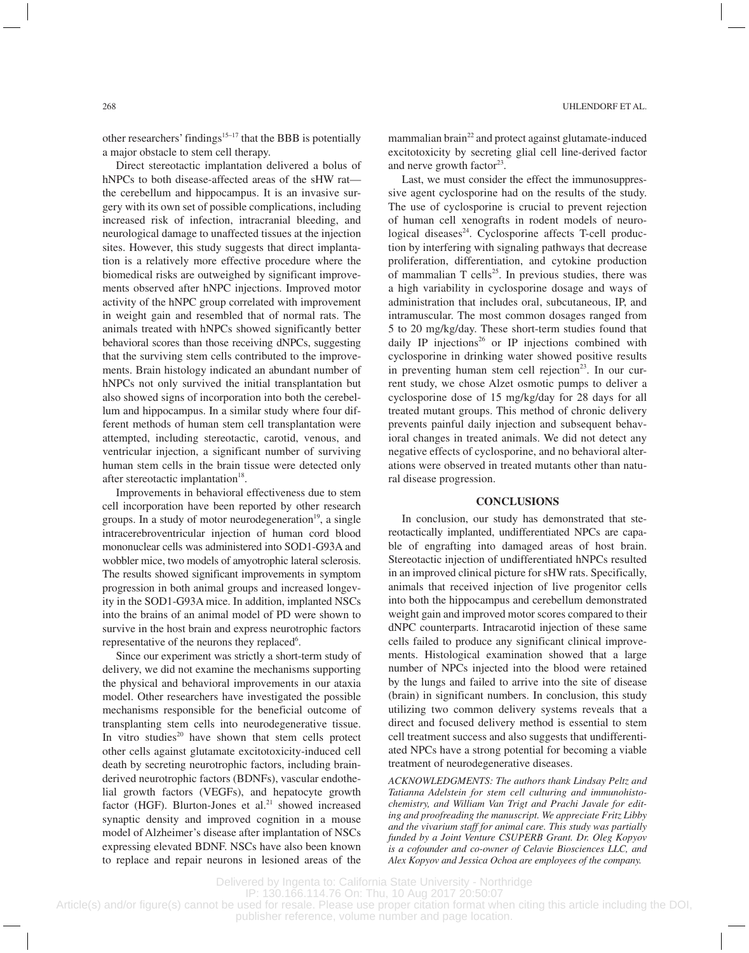other researchers' findings<sup>15-17</sup> that the BBB is potentially a major obstacle to stem cell therapy.

Direct stereotactic implantation delivered a bolus of hNPCs to both disease-affected areas of the sHW rat the cerebellum and hippocampus. It is an invasive surgery with its own set of possible complications, including increased risk of infection, intracranial bleeding, and neurological damage to unaffected tissues at the injection sites. However, this study suggests that direct implantation is a relatively more effective procedure where the biomedical risks are outweighed by significant improvements observed after hNPC injections. Improved motor activity of the hNPC group correlated with improvement in weight gain and resembled that of normal rats. The animals treated with hNPCs showed significantly better behavioral scores than those receiving dNPCs, suggesting that the surviving stem cells contributed to the improvements. Brain histology indicated an abundant number of hNPCs not only survived the initial transplantation but also showed signs of incorporation into both the cerebellum and hippocampus. In a similar study where four different methods of human stem cell transplantation were attempted, including stereotactic, carotid, venous, and ventricular injection, a significant number of surviving human stem cells in the brain tissue were detected only after stereotactic implantation $18$ .

Improvements in behavioral effectiveness due to stem cell incorporation have been reported by other research groups. In a study of motor neurodegeneration<sup>19</sup>, a single intracerebroventricular injection of human cord blood mononuclear cells was administered into SOD1-G93A and wobbler mice, two models of amyotrophic lateral sclerosis. The results showed significant improvements in symptom progression in both animal groups and increased longevity in the SOD1-G93A mice. In addition, implanted NSCs into the brains of an animal model of PD were shown to survive in the host brain and express neurotrophic factors representative of the neurons they replaced $6$ .

Since our experiment was strictly a short-term study of delivery, we did not examine the mechanisms supporting the physical and behavioral improvements in our ataxia model. Other researchers have investigated the possible mechanisms responsible for the beneficial outcome of transplanting stem cells into neurodegenerative tissue. In vitro studies<sup>20</sup> have shown that stem cells protect other cells against glutamate excitotoxicity-induced cell death by secreting neurotrophic factors, including brainderived neurotrophic factors (BDNFs), vascular endothelial growth factors (VEGFs), and hepatocyte growth factor (HGF). Blurton-Jones et al. $^{21}$  showed increased synaptic density and improved cognition in a mouse model of Alzheimer's disease after implantation of NSCs expressing elevated BDNF. NSCs have also been known to replace and repair neurons in lesioned areas of the mammalian brain $^{22}$  and protect against glutamate-induced excitotoxicity by secreting glial cell line-derived factor and nerve growth factor<sup>23</sup>.

Last, we must consider the effect the immunosuppressive agent cyclosporine had on the results of the study. The use of cyclosporine is crucial to prevent rejection of human cell xenografts in rodent models of neurological diseases<sup>24</sup>. Cyclosporine affects T-cell production by interfering with signaling pathways that decrease proliferation, differentiation, and cytokine production of mammalian T cells<sup>25</sup>. In previous studies, there was a high variability in cyclosporine dosage and ways of administration that includes oral, subcutaneous, IP, and intramuscular. The most common dosages ranged from 5 to 20 mg/kg/day. These short-term studies found that daily IP injections<sup>26</sup> or IP injections combined with cyclosporine in drinking water showed positive results in preventing human stem cell rejection<sup>23</sup>. In our current study, we chose Alzet osmotic pumps to deliver a cyclosporine dose of 15 mg/kg/day for 28 days for all treated mutant groups. This method of chronic delivery prevents painful daily injection and subsequent behavioral changes in treated animals. We did not detect any negative effects of cyclosporine, and no behavioral alterations were observed in treated mutants other than natural disease progression.

## **CONCLUSIONS**

In conclusion, our study has demonstrated that stereotactically implanted, undifferentiated NPCs are capable of engrafting into damaged areas of host brain. Stereotactic injection of undifferentiated hNPCs resulted in an improved clinical picture for sHW rats. Specifically, animals that received injection of live progenitor cells into both the hippocampus and cerebellum demonstrated weight gain and improved motor scores compared to their dNPC counterparts. Intracarotid injection of these same cells failed to produce any significant clinical improvements. Histological examination showed that a large number of NPCs injected into the blood were retained by the lungs and failed to arrive into the site of disease (brain) in significant numbers. In conclusion, this study utilizing two common delivery systems reveals that a direct and focused delivery method is essential to stem cell treatment success and also suggests that undifferentiated NPCs have a strong potential for becoming a viable treatment of neurodegenerative diseases.

*ACKNOWLEDGMENTS: The authors thank Lindsay Peltz and Tatianna Adelstein for stem cell culturing and immunohistochemistry, and William Van Trigt and Prachi Javale for editing and proofreading the manuscript. We appreciate Fritz Libby and the vivarium staff for animal care. This study was partially funded by a Joint Venture CSUPERB Grant. Dr. Oleg Kopyov is a cofounder and co-owner of Celavie Biosciences LLC, and Alex Kopyov and Jessica Ochoa are employees of the company.*

IP: 130.166.114.76 On: Thu, 10 Aug 2017 20:50:07